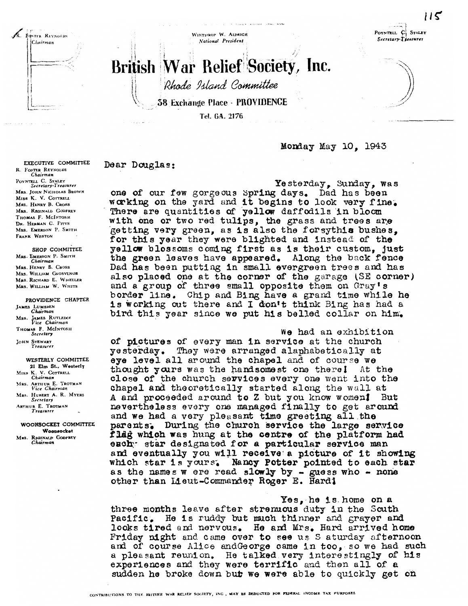WINTHROP W. ALDRICH National President

 $115$ POYNTELL C **STALEY** Secretary-Treasurer

# British War Relief Society, Inc.

Rhode Island Committee

**38 Exchange Place - PROVIDENCE** 

Tel. GA. 2176

### Monday May 10. 1943

#### Dear Douglas:

Yesterday, Sunday, was one of our few gorgeous Spring days. Dad has been working on the yard and it begins to look very fine. There are quantities of yellow daffodils in bloom with one or two red tulips, the grass and trees are getting very green, as is also the forsythis bushes. for this year they were blighted and instead of the yellow blossoms coming first as is their custom, just the green leaves have appeared. Along the back fence Dad has been putting in small evergreen trees and has also placed one at the corner of the garage (SE corner) and a group of three small opposite them on Gray's border line. Chip and Bing have a grand time while he is working out there and I don't think Bing has had a bird this year since we put his belled collar on him.

#### We had an exhibition

of pictures of every man in service at the church yesterday. They were arranged alaphabetically at eye level all around the chapel and of course we thought yours was the handsomest one there! At the close of the church services every one went into the chapel and theoretically started along the wall at A and proceeded around to Z but you know women! But nevertheless every one managed finally to get around and we had a very pleasant time greeting all the parents. During the church service the large service flag which was hung at the centre of the platform had eachy star designated for a particular service man and eventually you will receive a picture of it showing which star is yours. Nancy Potter pointed to each star as the names w ere read slowly by - guess who - none other than Lieut-Commander Roger E. Hard!

Yes, he is home on a three months leave after strenuous duty in the South Pacific. He is ruddy but much thinner and grayer and looks tired and nervous. He and Mrs. Hard arrived home Friday night and came over to see us S aturday afternoon and of course Alice and George came in too, so we had such a pleasant reunion. He talked very interestingly of his experiences and they were terrific and then all of a sudden he broke down but we were able to quickly get on

EXECUTIVE COMMITTEE R. FOSTER REYNOLDS Chairman POYNTELL C. STALEY Secretary-Treasurer MRS. JOHN NICHOLAS BROWN MISS K. V. COTTRELL MRS. HENRY B. CROSS MRS. REGINALD GODFREY THOMAS F. MCINTOSH DR. HERMAN C. PITTS MRS. EMERSON P. SMITH FRANK WESTON

R. FOSTER REYNOLDS

Chairman

SHOP COMMITTEE MRS. EMERSON P. SMITH<br>Chairman MRS. HENRY B. CROSS MRS. WILLIAM GROSVENOR MRS. RICHARD E. WHEELER MRS. WILLIAM W. WHITE

PROVIDENCE CHAPTER JAMES LUMSDEN<br>Chairman MRS. JAMES RUTLEDGE<br>Vice Chairman THOMAS F. MCINTOSH JOHN STEWART<br>Treasurer

WESTERLY COMMITTEE 21 Elm St., Westerly MISS K. V. COTTRELL<br>Chairman MRS. ARTHUR E. TROTMAN<br>Vice Chairman MRS. HUBERT A. R. MYERS<br>Secretary ARTHUR E. TROTMAN

WOONSOCKET COMMITTEE Woonsocket MRS. REGINALD GODFREY<br>Chairman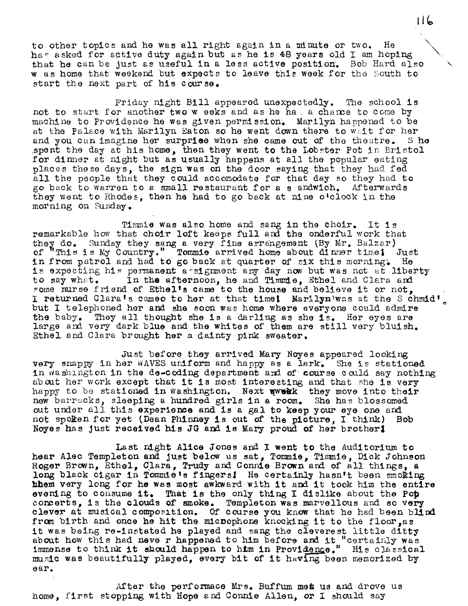to other topics and he was all right again in a minute or two. He has asked for active duty again but as he is 48 years old I am hoping that he can be just as useful in a less active position. Bob Hard also w as home that weekend but expects to leave this week for the South to start the next part of his course.

Friday night Bill appeared unexpectedly. The school is not to start for another two w eeks and as he hall a chance to come by machine to Providence he was given permission. Marilyn happened to be at the Palace with Marilyn Eaton so he went down there to wait for her and you can imagine her surprise when she came out of the theatre. S he spent the day at his home, then they went to the Lobster Pot in Bristol for dinner at night but as usually happens at all the popular eating places these days, the sign was on the door saying that they had fed all the people that they could accomodate for that day so they had to go back to Warren to a small restaurant for a s andw1ch. Afterwards they went to Rhodes, then he had to go back at nine o'clock in the morning on Sunday.

Timmie was also home and sang in the choir. It is remarkable how that choir loft keeps full and the onderful work that they do. Sunday they sang a very fine arrangement (By Mr. Balzar) of "This is My Country." Tommie arrived home about dinner time! Just in from patrol and had to go back at quarter of six this morning. He is expecting his permanent a signment any day now but was not at liberty to say what. In the afternoon, he and Timmie. Ethel and Clara and In the afternoon, he and Timmie, Ethel and Clara and some nurse friend of Ethel's came to the house and believe it or not, I returned Clara's cameo to her at that time! Marilyn'was at the Schmid' but I telephoned her and she soon was home where everyone could admire. the baby. They all thought she is a darling as she is. Her eyes are large and very dark blue and the whites of them are still very bluish. Ethel and Clara brought her a dainty pink sweater.

Just before they arrived Mary Noyes appeared looking very snappy in her WAVES uniform and happy as a lark. She is stationed in washington in the de-coding department and of course could say nothing about her work except that it is most interesting and that she is very happy to be stationed in washington. Next wwwkk they move into their new barracks, sleeping a hundred girls in a room. She has blossomed out under all this experience and is a gal to keep your eye one and not spoken for yet (Dean Phinney is out of the picture. I think) Bob not spoken for yet (Dean Phinney is out of the picture, I think) Noyes has just received his JG and 18 Mary proud of her brother!

Last night Alice Jones and I went to the Auditorium to hear Alec Templeton and just below us sat, Tommie. Timmie, Dick Johnson Roger Brown, Ethel, Clara, Trudy and Connie Brown and of all things, a long black cigar in Tommie's fingers! He certainly hasn't been smoking hhem very long for he was most awkward with it and it took him the entire evening to consume it. That is the only thing I dislike about the Pob concerts, is the clouds of smoke. Templeton was marvellous and so very clever at musical composition. Of course you know that he had been blind from birth and once he hit the microphone knocking it to the floor, as it was being re-instated he played and sang the cleverest little ditty it was being re-instated he played and sang the cleverest little ditty about how this had neve r happened to him before and it "certainly was about how this had never happened to him before and it "certainly was immense to think it should happen to him in Providence." His classical music was beautifully played, every bit of it having been memorized by ear.

After the perfonnace Mrs. Buffum mes us and drove us thome, first stopping with Hope end Connie Allen, or I should say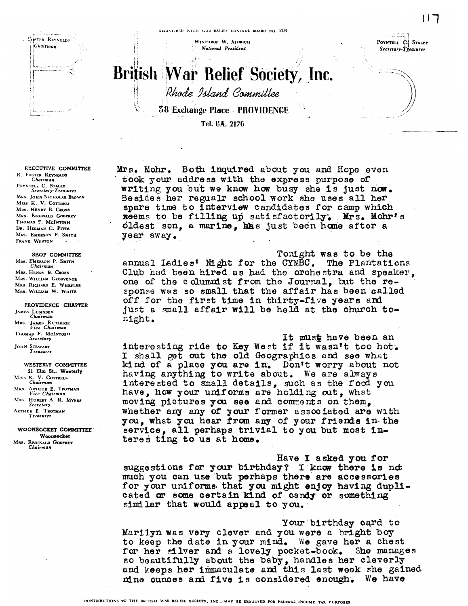FIGSTER REYNOLDS *Chairman* 

WINTHROP W. ALDRICH National President

POYNTELL C STALEY Secretary-Treasurer

 $117$ 

## **British War Relief Society, Inc.** Rhode Island Committee **58 Exchange Place - PROVIDENCE**

Tel. GA. 2176

**EXECUTIVE COMMITTEE** R. FOSTER REYNOLDS<br>Chairman POYNTELL C. STALEY Secretary-Treasurer MRS. JOHN NICHOLAS BROWN MISS K. V. COTTRELL MRS. HENRY B. CROSS MRS. REGINALD GODFREY THOMAS F. MCINTOSH DR. HERMAN C. PITTS MRS. EMERSON P. SMITH FRANK WESTON

#### SHOP COMMITTEE MRS. EMERSON P. SMITH Chairman MRS. HENRY B. CROSS MRS. WILLIAM GROSVENOR MRS. RICHARD E. WHEELER MRS. WILLIAM W. WHITE

PROVIDENCE CHAPTER JAMES LUMSDEN<br>Chairman MRS. JAMES RUTLEDGE<br>Vice Chairman THOMAS F. MCINTOSH Secretary JOHN STEWART<br>Treasurer

WESTERLY COMMITTEE 21 Elm St., Westerly MISS K. V. COTTRELL<br>Chairman MRS. ARTHUR E. TROTMAN<br>Vice Chairman MRS. HUBERT A. R. MYERS Secretary ARTHUR E. TROTMAN `reasurer

WOONSOCKET COMMITTEE Woonsocket MRS. REGINALD GODFREY Chairman

Mrs. Mohr. Both inquired about you and Hope even took your address with the express purpose of writing you but we know how busy she is just now. Besides her regualr school work she uses all her spare time to interview candidates for camp which xeems to be filling up satisfactorily. Mrs. Mohr's oldest son, a marine, has just been home after a year away.

Tonight was to be the annual Ladies' Night for the CYMBC. The Plantations Club had been hired as had the orchestra and speaker, one of the columnist from the Journal, but the response was so small that the affair has been called off for the first time in thirty-five years and just a small affair will be held at the church tonight.

It must have been an interesting ride to Key West if it wasn't too hot. I shall get out the old Geographics and see what kind of a place you are in. Don't worry about not having anything to write about. We are always interested to small details, such as the food you have, how your uniforms are holding out, what moving pictures you see and comments on them, whether any any of your former associated are with you, what you hear from any of your friends in the service, all perhaps trivial to you but most interes ting to us at home.

Have I asked you for suggestions for your birthday? I know there is not much you can use but perhaps there are accessories for your uniforms that you might enjoy having duplicated or some certain kind of candy or something similar that would appeal to you.

Your birthday card to Marilyn was very clever and you were a bright boy to keep the date in your mind. We gave her a chest for her silver and a lovely pocket-book. She manages so beautifully about the baby, handles her cleverly and keeps her immaculate and this last week she gained nine ounces and five is considered enough. We have